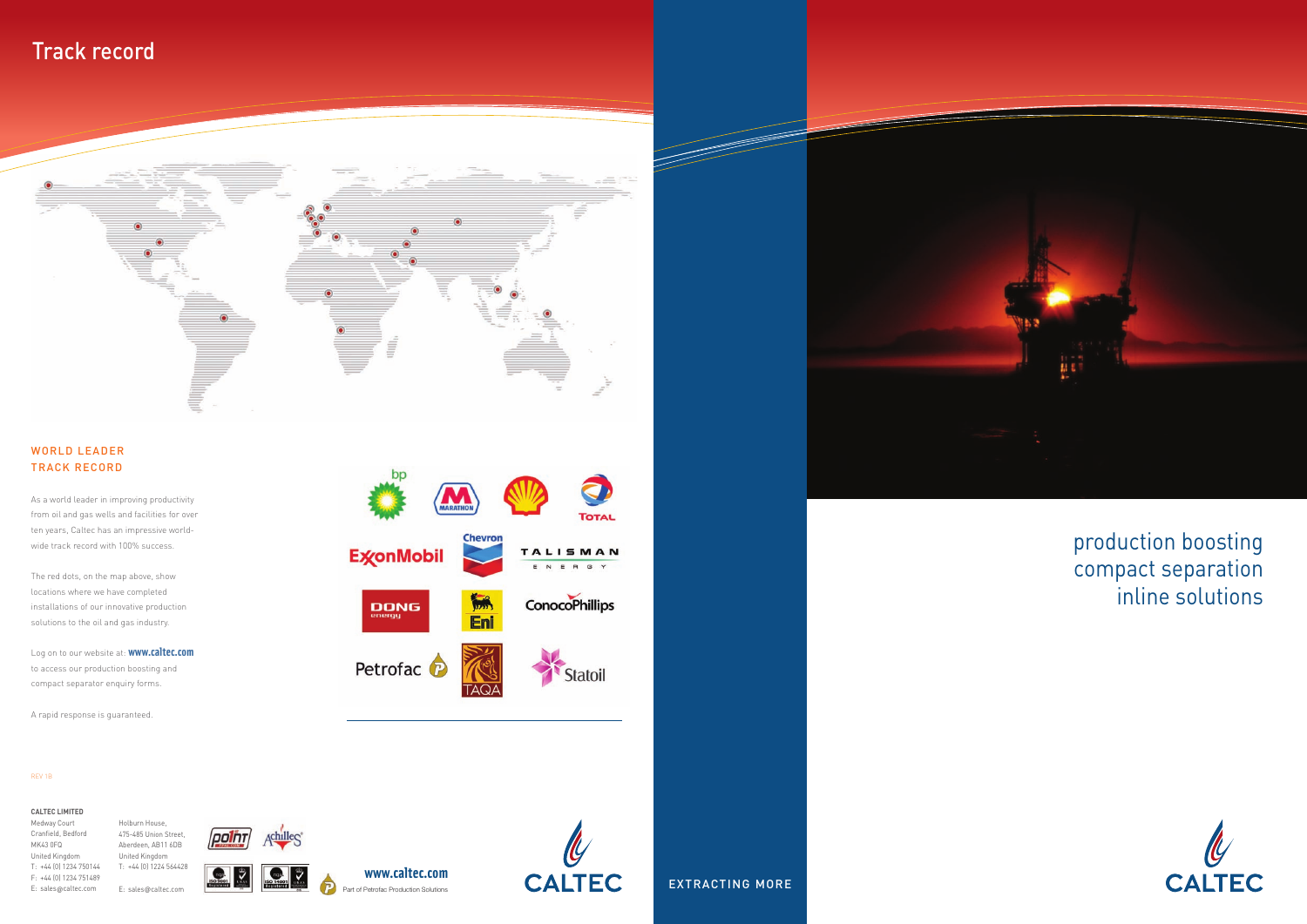# Track record



# production boosting compact separation inline solutions



EXTRACTING MORE



#### WORLD LEADER TRACK RECORD

As a world leader in improving productivity from oil and gas wells and facilities for over ten years, Caltec has an impressive worldwide track record with 100% success.

The red dots, on the map above, show locations where we have completed installations of our innovative production solutions to the oil and gas industry.

Log on to our website at: **www.caltec.com** to access our production boosting and compact separator enquiry forms.

A rapid response is guaranteed.





#### **CALTEC LIMITED**

Medway Court Cranfield, Bedford MK43 0FQ United Kingdom T: +44 (0) 1234 750144 F: +44 (0) 1234 751489 E: sales@caltec.com

Holburn House,





E: sales@caltec.com

**www.caltec.com** Part of Petrofac Production Solutions